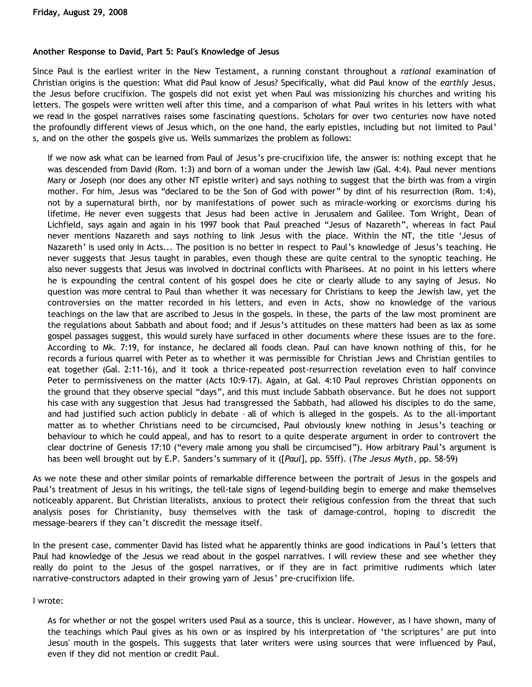### **Another Response to David, Part 5: Paul's Knowledge of Jesus**

Since Paul is the earliest writer in the New Testament, a running constant throughout a *rational* examination of Christian origins is the question: What did Paul know of Jesus? Specifically, what did Paul know of the *earthly* Jesus, the Jesus before crucifixion. The gospels did not exist yet when Paul was missionizing his churches and writing his letters. The gospels were written well after this time, and a comparison of what Paul writes in his letters with what we read in the gospel narratives raises some fascinating questions. Scholars for over two centuries now have noted the profoundly different views of Jesus which, on the one hand, the early epistles, including but not limited to Paul' s, and on the other the gospels give us. Wells summarizes the problem as follows:

If we now ask what can be learned from Paul of Jesus's pre-crucifixion life, the answer is: nothing except that he was descended from David (Rom. 1:3) and born of a woman under the Jewish law (Gal. 4:4). Paul never mentions Mary or Joseph (nor does any other NT epistle writer) and says nothing to suggest that the birth was from a virgin mother. For him, Jesus was "declared to be the Son of God with power" by dint of his resurrection (Rom. 1:4), not by a supernatural birth, nor by manifestations of power such as miracle-working or exorcisms during his lifetime. He never even suggests that Jesus had been active in Jerusalem and Galilee. Tom Wright, Dean of Lichfield, says again and again in his 1997 book that Paul preached "Jesus of Nazareth", whereas in fact Paul never mentions Nazareth and says nothing to link Jesus with the place. Within the NT, the title 'Jesus of Nazareth' is used only in Acts... The position is no better in respect to Paul's knowledge of Jesus's teaching. He never suggests that Jesus taught in parables, even though these are quite central to the synoptic teaching. He also never suggests that Jesus was involved in doctrinal conflicts with Pharisees. At no point in his letters where he is expounding the central content of his gospel does he cite or clearly allude to any saying of Jesus. No question was more central to Paul than whether it was necessary for Christians to keep the Jewish law, yet the controversies on the matter recorded in his letters, and even in Acts, show no knowledge of the various teachings on the law that are ascribed to Jesus in the gospels. In these, the parts of the law most prominent are the regulations about Sabbath and about food; and if Jesus's attitudes on these matters had been as lax as some gospel passages suggest, this would surely have surfaced in other documents where these issues are to the fore. According to Mk. 7:19, for instance, he declared all foods clean. Paul can have known nothing of this, for he records a furious quarrel with Peter as to whether it was permissible for Christian Jews and Christian gentiles to eat together (Gal. 2:11-16), and it took a thrice-repeated post-resurrection revelation even to half convince Peter to permissiveness on the matter (Acts 10:9-17). Again, at Gal. 4:10 Paul reproves Christian opponents on the ground that they observe special "days", and this must include Sabbath observance. But he does not support his case with any suggestion that Jesus had transgressed the Sabbath, had allowed his disciples to do the same, and had justified such action publicly in debate – all of which is alleged in the gospels. As to the all-important matter as to whether Christians need to be circumcised, Paul obviously knew nothing in Jesus's teaching or behaviour to which he could appeal, and has to resort to a quite desperate argument in order to controvert the clear doctrine of Genesis 17:10 ("every male among you shall be circumcised"). How arbitrary Paul's argument is has been well brought out by E.P. Sanders's summary of it ([*Paul*], pp. 55ff). (*The Jesus Myth*, pp. 58-59)

As we note these and other similar points of remarkable difference between the portrait of Jesus in the gospels and Paul's treatment of Jesus in his writings, the tell-tale signs of legend-building begin to emerge and make themselves noticeably apparent. But Christian literalists, anxious to protect their religious confession from the threat that such analysis poses for Christianity, busy themselves with the task of damage-control, hoping to discredit the message-bearers if they can't discredit the message itself.

In the present case, commenter David has listed what he apparently thinks are good indications in Paul's letters that Paul had knowledge of the Jesus we read about in the gospel narratives. I will review these and see whether they really do point to the Jesus of the gospel narratives, or if they are in fact primitive rudiments which later narrative-constructors adapted in their growing yarn of Jesus' pre-crucifixion life.

I wrote:

As for whether or not the gospel writers used Paul as a source, this is unclear. However, as I have shown, many of the teachings which Paul gives as his own or as inspired by his interpretation of 'the scriptures' are put into Jesus' mouth in the gospels. This suggests that later writers were using sources that were influenced by Paul, even if they did not mention or credit Paul.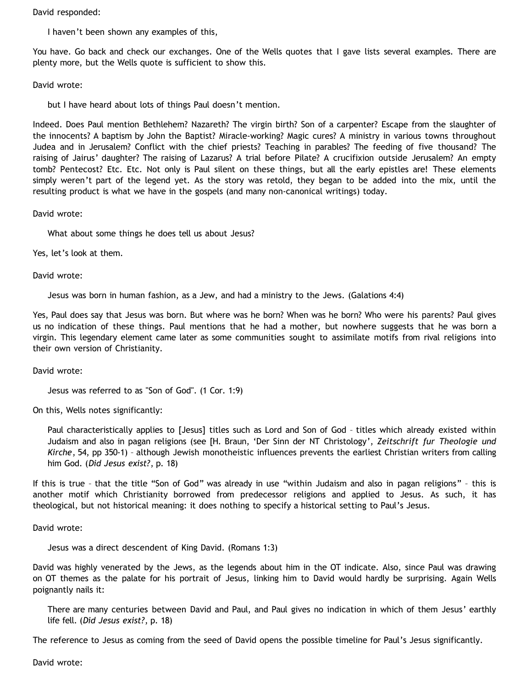David responded:

I haven't been shown any examples of this,

You have. Go back and check our exchanges. One of the Wells quotes that I gave lists several examples. There are plenty more, but the Wells quote is sufficient to show this.

David wrote:

but I have heard about lots of things Paul doesn't mention.

Indeed. Does Paul mention Bethlehem? Nazareth? The virgin birth? Son of a carpenter? Escape from the slaughter of the innocents? A baptism by John the Baptist? Miracle-working? Magic cures? A ministry in various towns throughout Judea and in Jerusalem? Conflict with the chief priests? Teaching in parables? The feeding of five thousand? The raising of Jairus' daughter? The raising of Lazarus? A trial before Pilate? A crucifixion outside Jerusalem? An empty tomb? Pentecost? Etc. Etc. Not only is Paul silent on these things, but all the early epistles are! These elements simply weren't part of the legend yet. As the story was retold, they began to be added into the mix, until the resulting product is what we have in the gospels (and many non-canonical writings) today.

David wrote:

What about some things he does tell us about Jesus?

Yes, let's look at them.

David wrote:

Jesus was born in human fashion, as a Jew, and had a ministry to the Jews. (Galations 4:4)

Yes, Paul does say that Jesus was born. But where was he born? When was he born? Who were his parents? Paul gives us no indication of these things. Paul mentions that he had a mother, but nowhere suggests that he was born a virgin. This legendary element came later as some communities sought to assimilate motifs from rival religions into their own version of Christianity.

David wrote:

Jesus was referred to as "Son of God". (1 Cor. 1:9)

On this, Wells notes significantly:

Paul characteristically applies to [Jesus] titles such as Lord and Son of God – titles which already existed within Judaism and also in pagan religions (see [H. Braun, 'Der Sinn der NT Christology', *Zeitschrift fur Theologie und Kirche*, 54, pp 350-1) – although Jewish monotheistic influences prevents the earliest Christian writers from calling him God. (*Did Jesus exist?*, p. 18)

If this is true – that the title "Son of God" was already in use "within Judaism and also in pagan religions" – this is another motif which Christianity borrowed from predecessor religions and applied to Jesus. As such, it has theological, but not historical meaning: it does nothing to specify a historical setting to Paul's Jesus.

David wrote:

Jesus was a direct descendent of King David. (Romans 1:3)

David was highly venerated by the Jews, as the legends about him in the OT indicate. Also, since Paul was drawing on OT themes as the palate for his portrait of Jesus, linking him to David would hardly be surprising. Again Wells poignantly nails it:

There are many centuries between David and Paul, and Paul gives no indication in which of them Jesus' earthly life fell. (*Did Jesus exist?*, p. 18)

The reference to Jesus as coming from the seed of David opens the possible timeline for Paul's Jesus significantly.

David wrote: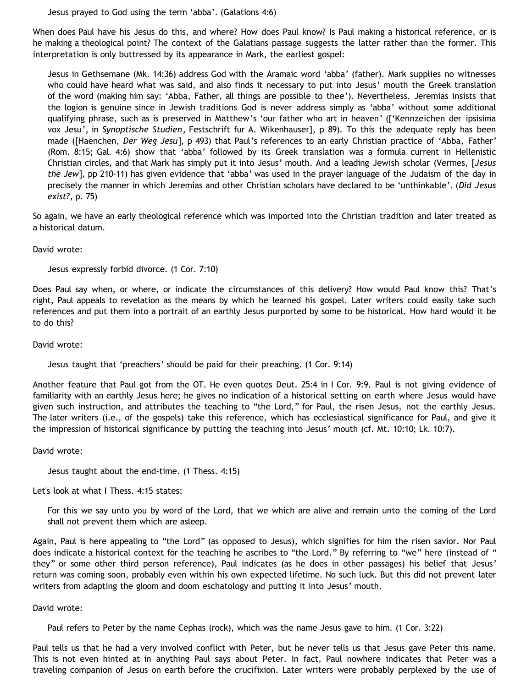Jesus prayed to God using the term 'abba'. (Galations 4:6)

When does Paul have his Jesus do this, and where? How does Paul know? Is Paul making a historical reference, or is he making a theological point? The context of the Galatians passage suggests the latter rather than the former. This interpretation is only buttressed by its appearance in Mark, the earliest gospel:

Jesus in Gethsemane (Mk. 14:36) address God with the Aramaic word 'abba' (father). Mark supplies no witnesses who could have heard what was said, and also finds it necessary to put into Jesus' mouth the Greek translation of the word (making him say: 'Abba, Father, all things are possible to thee'). Nevertheless, Jeremias insists that the logion is genuine since in Jewish traditions God is never address simply as 'abba' without some additional qualifying phrase, such as is preserved in Matthew's 'our father who art in heaven' (['Kennzeichen der ipsisima vox Jesu', in *Synoptische Studien*, Festschrift fur A. Wikenhauser], p 89). To this the adequate reply has been made ([Haenchen, *Der Weg Jesu*], p 493) that Paul's references to an early Christian practice of 'Abba, Father' (Rom. 8:15; Gal. 4:6) show that 'abba' followed by its Greek translation was a formula current in Hellenistic Christian circles, and that Mark has simply put it into Jesus' mouth. And a leading Jewish scholar (Vermes, [*Jesus the Jew*], pp 210-11) has given evidence that 'abba' was used in the prayer language of the Judaism of the day in precisely the manner in which Jeremias and other Christian scholars have declared to be 'unthinkable'. (*Did Jesus exist?*, p. 75)

So again, we have an early theological reference which was imported into the Christian tradition and later treated as a historical datum.

### David wrote:

Jesus expressly forbid divorce. (1 Cor. 7:10)

Does Paul say when, or where, or indicate the circumstances of this delivery? How would Paul know this? That's right, Paul appeals to revelation as the means by which he learned his gospel. Later writers could easily take such references and put them into a portrait of an earthly Jesus purported by some to be historical. How hard would it be to do this?

David wrote:

Jesus taught that 'preachers' should be paid for their preaching. (1 Cor. 9:14)

Another feature that Paul got from the OT. He even quotes Deut. 25:4 in I Cor. 9:9. Paul is not giving evidence of familiarity with an earthly Jesus here; he gives no indication of a historical setting on earth where Jesus would have given such instruction, and attributes the teaching to "the Lord," for Paul, the risen Jesus, not the earthly Jesus. The later writers (i.e., of the gospels) take this reference, which has ecclesiastical significance for Paul, and give it the impression of historical significance by putting the teaching into Jesus' mouth (cf. Mt. 10:10; Lk. 10:7).

David wrote:

Jesus taught about the end-time. (1 Thess. 4:15)

Let's look at what I Thess. 4:15 states:

For this we say unto you by word of the Lord, that we which are alive and remain unto the coming of the Lord shall not prevent them which are asleep.

Again, Paul is here appealing to "the Lord" (as opposed to Jesus), which signifies for him the risen savior. Nor Paul does indicate a historical context for the teaching he ascribes to "the Lord." By referring to "we" here (instead of " they" or some other third person reference), Paul indicates (as he does in other passages) his belief that Jesus' return was coming soon, probably even within his own expected lifetime. No such luck. But this did not prevent later writers from adapting the gloom and doom eschatology and putting it into Jesus' mouth.

### David wrote:

Paul refers to Peter by the name Cephas (rock), which was the name Jesus gave to him. (1 Cor. 3:22)

Paul tells us that he had a very involved conflict with Peter, but he never tells us that Jesus gave Peter this name. This is not even hinted at in anything Paul says about Peter. In fact, Paul nowhere indicates that Peter was a traveling companion of Jesus on earth before the crucifixion. Later writers were probably perplexed by the use of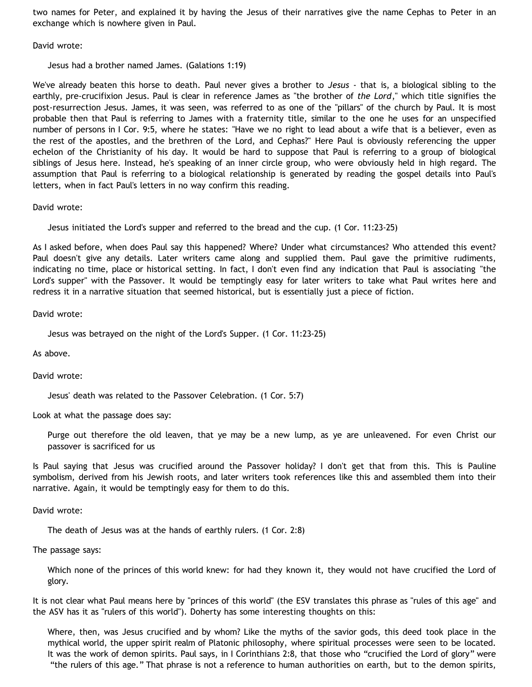two names for Peter, and explained it by having the Jesus of their narratives give the name Cephas to Peter in an exchange which is nowhere given in Paul.

David wrote:

Jesus had a brother named James. (Galations 1:19)

We've already beaten this horse to death. Paul never gives a brother to *Jesus* - that is, a biological sibling to the earthly, pre-crucifixion Jesus. Paul is clear in reference James as "the brother of *the Lord*," which title signifies the post-resurrection Jesus. James, it was seen, was referred to as one of the "pillars" of the church by Paul. It is most probable then that Paul is referring to James with a fraternity title, similar to the one he uses for an unspecified number of persons in I Cor. 9:5, where he states: "Have we no right to lead about a wife that is a believer, even as the rest of the apostles, and the brethren of the Lord, and Cephas?" Here Paul is obviously referencing the upper echelon of the Christianity of his day. It would be hard to suppose that Paul is referring to a group of biological siblings of Jesus here. Instead, he's speaking of an inner circle group, who were obviously held in high regard. The assumption that Paul is referring to a biological relationship is generated by reading the gospel details into Paul's letters, when in fact Paul's letters in no way confirm this reading.

David wrote:

Jesus initiated the Lord's supper and referred to the bread and the cup. (1 Cor. 11:23-25)

As I asked before, when does Paul say this happened? Where? Under what circumstances? Who attended this event? Paul doesn't give any details. Later writers came along and supplied them. Paul gave the primitive rudiments, indicating no time, place or historical setting. In fact, I don't even find any indication that Paul is associating "the Lord's supper" with the Passover. It would be temptingly easy for later writers to take what Paul writes here and redress it in a narrative situation that seemed historical, but is essentially just a piece of fiction.

David wrote:

Jesus was betrayed on the night of the Lord's Supper. (1 Cor. 11:23-25)

As above.

David wrote:

Jesus' death was related to the Passover Celebration. (1 Cor. 5:7)

Look at what the passage does say:

Purge out therefore the old leaven, that ye may be a new lump, as ye are unleavened. For even Christ our passover is sacrificed for us

Is Paul saying that Jesus was crucified around the Passover holiday? I don't get that from this. This is Pauline symbolism, derived from his Jewish roots, and later writers took references like this and assembled them into their narrative. Again, it would be temptingly easy for them to do this.

David wrote:

The death of Jesus was at the hands of earthly rulers. (1 Cor. 2:8)

The passage says:

Which none of the princes of this world knew: for had they known it, they would not have crucified the Lord of glory.

It is not clear what Paul means here by "princes of this world" (the ESV translates this phrase as "rules of this age" and the ASV has it as "rulers of this world"). Doherty has some interesting thoughts on this:

Where, then, was Jesus crucified and by whom? Like the myths of the savior gods, this deed took place in the mythical world, the upper spirit realm of Platonic philosophy, where spiritual processes were seen to be located. It was the work of demon spirits. Paul says, in I Corinthians 2:8, that those who "crucified the Lord of glory" were "the rulers of this age." That phrase is not a reference to human authorities on earth, but to the demon spirits,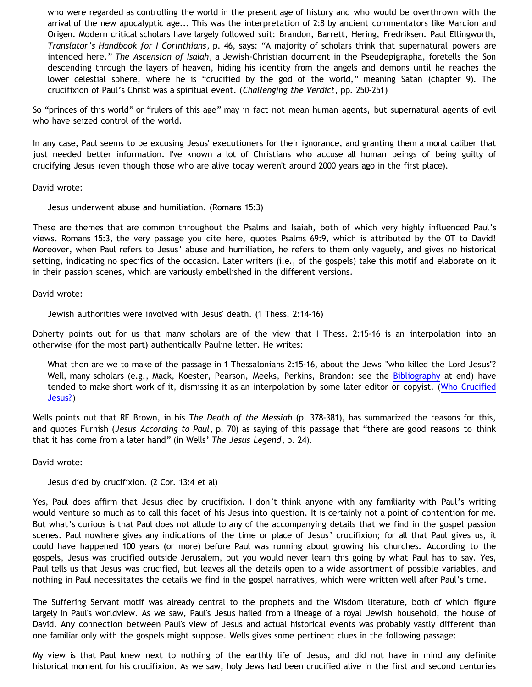who were regarded as controlling the world in the present age of history and who would be overthrown with the arrival of the new apocalyptic age... This was the interpretation of 2:8 by ancient commentators like Marcion and Origen. Modern critical scholars have largely followed suit: Brandon, Barrett, Hering, Fredriksen. Paul Ellingworth, *Translator's Handbook for I Corinthians*, p. 46, says: "A majority of scholars think that supernatural powers are intended here." *The Ascension of Isaiah*, a Jewish-Christian document in the Pseudepigrapha, foretells the Son descending through the layers of heaven, hiding his identity from the angels and demons until he reaches the lower celestial sphere, where he is "crucified by the god of the world," meaning Satan (chapter 9). The crucifixion of Paul's Christ was a spiritual event. (*Challenging the Verdict*, pp. 250-251)

So "princes of this world" or "rulers of this age" may in fact not mean human agents, but supernatural agents of evil who have seized control of the world.

In any case, Paul seems to be excusing Jesus' executioners for their ignorance, and granting them a moral caliber that just needed better information. I've known a lot of Christians who accuse all human beings of being guilty of crucifying Jesus (even though those who are alive today weren't around 2000 years ago in the first place).

David wrote:

Jesus underwent abuse and humiliation. (Romans 15:3)

These are themes that are common throughout the Psalms and Isaiah, both of which very highly influenced Paul's views. Romans 15:3, the very passage you cite here, quotes Psalms 69:9, which is attributed by the OT to David! Moreover, when Paul refers to Jesus' abuse and humiliation, he refers to them only vaguely, and gives no historical setting, indicating no specifics of the occasion. Later writers (i.e., of the gospels) take this motif and elaborate on it in their passion scenes, which are variously embellished in the different versions.

David wrote:

Jewish authorities were involved with Jesus' death. (1 Thess. 2:14-16)

Doherty points out for us that many scholars are of the view that I Thess. 2:15-16 is an interpolation into an otherwise (for the most part) authentically Pauline letter. He writes:

What then are we to make of the passage in 1 Thessalonians 2:15-16, about the Jews "who killed the Lord Jesus"? Well, many scholars (e.g., Mack, Koester, Pearson, Meeks, Perkins, Brandon: see the [Bibliography](http://jesuspuzzle.humanists.net/supp03.htm) at end) have tended to make short work of it, dismissing it as an interpolation by some later editor or copyist. ([Who Crucified](http://jesuspuzzle.humanists.net/supp03.htm) [Jesus?](http://jesuspuzzle.humanists.net/supp03.htm))

Wells points out that RE Brown, in his *The Death of the Messiah* (p. 378-381), has summarized the reasons for this, and quotes Furnish (*Jesus According to Paul*, p. 70) as saying of this passage that "there are good reasons to think that it has come from a later hand" (in Wells' *The Jesus Legend*, p. 24).

David wrote:

Jesus died by crucifixion. (2 Cor. 13:4 et al)

Yes, Paul does affirm that Jesus died by crucifixion. I don't think anyone with any familiarity with Paul's writing would venture so much as to call this facet of his Jesus into question. It is certainly not a point of contention for me. But what's curious is that Paul does not allude to any of the accompanying details that we find in the gospel passion scenes. Paul nowhere gives any indications of the time or place of Jesus' crucifixion; for all that Paul gives us, it could have happened 100 years (or more) before Paul was running about growing his churches. According to the gospels, Jesus was crucified outside Jerusalem, but you would never learn this going by what Paul has to say. Yes, Paul tells us that Jesus was crucified, but leaves all the details open to a wide assortment of possible variables, and nothing in Paul necessitates the details we find in the gospel narratives, which were written well after Paul's time.

The Suffering Servant motif was already central to the prophets and the Wisdom literature, both of which figure largely in Paul's worldview. As we saw, Paul's Jesus hailed from a lineage of a royal Jewish household, the house of David. Any connection between Paul's view of Jesus and actual historical events was probably vastly different than one familiar only with the gospels might suppose. Wells gives some pertinent clues in the following passage:

My view is that Paul knew next to nothing of the earthly life of Jesus, and did not have in mind any definite historical moment for his crucifixion. As we saw, holy Jews had been crucified alive in the first and second centuries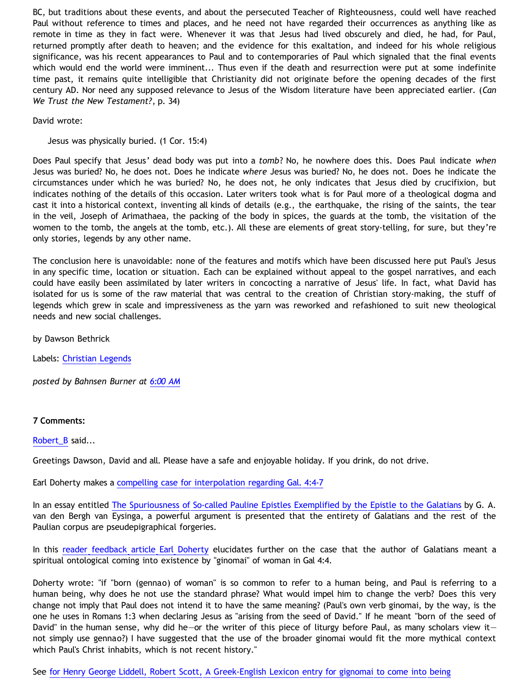BC, but traditions about these events, and about the persecuted Teacher of Righteousness, could well have reached Paul without reference to times and places, and he need not have regarded their occurrences as anything like as remote in time as they in fact were. Whenever it was that Jesus had lived obscurely and died, he had, for Paul, returned promptly after death to heaven; and the evidence for this exaltation, and indeed for his whole religious significance, was his recent appearances to Paul and to contemporaries of Paul which signaled that the final events which would end the world were imminent... Thus even if the death and resurrection were put at some indefinite time past, it remains quite intelligible that Christianity did not originate before the opening decades of the first century AD. Nor need any supposed relevance to Jesus of the Wisdom literature have been appreciated earlier. (*Can We Trust the New Testament?*, p. 34)

David wrote:

### Jesus was physically buried. (1 Cor. 15:4)

Does Paul specify that Jesus' dead body was put into a *tomb*? No, he nowhere does this. Does Paul indicate *when* Jesus was buried? No, he does not. Does he indicate *where* Jesus was buried? No, he does not. Does he indicate the circumstances under which he was buried? No, he does not, he only indicates that Jesus died by crucifixion, but indicates nothing of the details of this occasion. Later writers took what is for Paul more of a theological dogma and cast it into a historical context, inventing all kinds of details (e.g., the earthquake, the rising of the saints, the tear in the veil, Joseph of Arimathaea, the packing of the body in spices, the guards at the tomb, the visitation of the women to the tomb, the angels at the tomb, etc.). All these are elements of great story-telling, for sure, but they're only stories, legends by any other name.

The conclusion here is unavoidable: none of the features and motifs which have been discussed here put Paul's Jesus in any specific time, location or situation. Each can be explained without appeal to the gospel narratives, and each could have easily been assimilated by later writers in concocting a narrative of Jesus' life. In fact, what David has isolated for us is some of the raw material that was central to the creation of Christian story-making, the stuff of legends which grew in scale and impressiveness as the yarn was reworked and refashioned to suit new theological needs and new social challenges.

by Dawson Bethrick

Labels: [Christian Legends](http://bahnsenburner.blogspot.com/search/label/Christian%20Legends)

*posted by Bahnsen Burner at [6:00 AM](http://bahnsenburner.blogspot.com/2008/08/another-response-to-david-part-5-pauls.html)*

#### **7 Comments:**

[Robert\\_B](http://www.blogger.com/profile/03469718358131331499) said...

Greetings Dawson, David and all. Please have a safe and enjoyable holiday. If you drink, do not drive.

Earl Doherty makes a [compelling case for interpolation regarding Gal. 4:4-7](http://jesuspuzzle.humanists.net/supp15.htm)

In an essay entitled [The Spuriousness of So-called Pauline Epistles Exemplified by the Epistle to the Galatians](http://www.depts.drew.edu/jhc/eysingsp.html) by G. A. van den Bergh van Eysinga, a powerful argument is presented that the entirety of Galatians and the rest of the Paulian corpus are pseudepigraphical forgeries.

In this [reader feedback article Earl Doherty](http://jesuspuzzle.humanists.net/rfset22.htm) elucidates further on the case that the author of Galatians meant a spiritual ontological coming into existence by "ginomai" of woman in Gal 4:4.

Doherty wrote: "if "born (gennao) of woman" is so common to refer to a human being, and Paul is referring to a human being, why does he not use the standard phrase? What would impel him to change the verb? Does this very change not imply that Paul does not intend it to have the same meaning? (Paul's own verb ginomai, by the way, is the one he uses in Romans 1:3 when declaring Jesus as "arising from the seed of David." If he meant "born of the seed of David" in the human sense, why did he—or the writer of this piece of liturgy before Paul, as many scholars view it not simply use gennao?) I have suggested that the use of the broader ginomai would fit the more mythical context which Paul's Christ inhabits, which is not recent history."

See [for Henry George Liddell, Robert Scott, A Greek-English Lexicon entry for gignomai to come into being](http://www.perseus.tufts.edu/cgi-bin/ptext?layout.reflang=greek;layout.refembed=2;layout.refwordcount=1;layout.refdoc=Perseus%3Atext%3A1999.01.0155;layout.reflookup=geno%2Fmenon;layout.refcit=book%3DGalatians%3Achapter%3D4%3Averse%3D4;doc=Perseus%3Atext%3A1999.04.0057%3Aentry%3D%2322210;layout.refabo=Perseus%3Aabo%3Atlg%2C0031%2C009)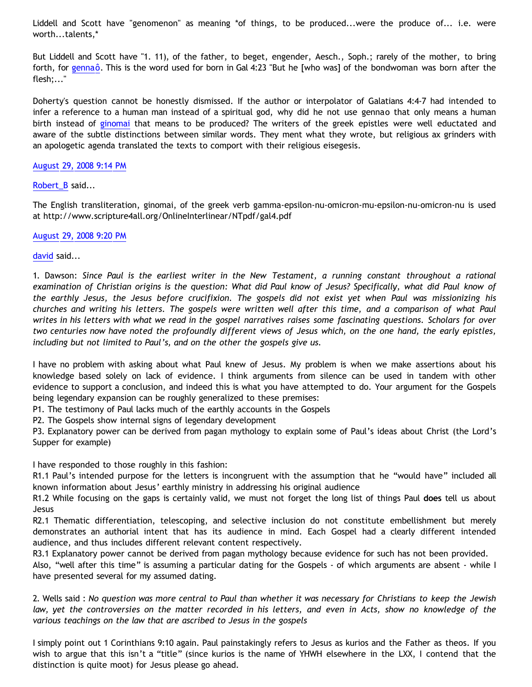Liddell and Scott have "genomenon" as meaning \*of things, to be produced...were the produce of... i.e. were worth...talents,\*

But Liddell and Scott have "1. 11), of the father, to beget, engender, Aesch., Soph.; rarely of the mother, to bring forth, for [gennaô](http://www.perseus.tufts.edu/cgi-bin/ptext?layout.reflang=greek;layout.refembed=2;layout.refwordcount=1;layout.refdoc=Perseus%3Atext%3A1999.01.0155;layout.reflookup=gege%2Fnnhtai;layout.refcit=book%3DGalatians%3Achapter%3D4%3Averse%3D23;doc=Perseus%3Atext%3A1999.04.0058%3Aentry%3D%236837;layout.refabo=Perseus%3Aabo%3Atlg%2C0031%2C009). This is the word used for born in Gal 4:23 "But he [who was] of the bondwoman was born after the flesh;..."

Doherty's question cannot be honestly dismissed. If the author or interpolator of Galatians 4:4-7 had intended to infer a reference to a human man instead of a spiritual god, why did he not use gennao that only means a human birth instead of [ginomai](http://www.scripture4all.org/OnlineInterlinear/NTpdf/gal4.pdf) that means to be produced? The writers of the greek epistles were well eductated and aware of the subtle distinctions between similar words. They ment what they wrote, but religious ax grinders with an apologetic agenda translated the texts to comport with their religious eisegesis.

### [August 29, 2008 9:14 PM](http://bahnsenburner.blogspot.com/2008/08/7767192831736867261)

### [Robert\\_B](http://www.blogger.com/profile/03469718358131331499) said...

The English transliteration, ginomai, of the greek verb gamma-epsilon-nu-omicron-mu-epsilon-nu-omicron-nu is used at<http://www.scripture4all.org/OnlineInterlinear/NTpdf/gal4.pdf>

### [August 29, 2008 9:20 PM](http://bahnsenburner.blogspot.com/2008/08/466756210138954792)

### [david](http://www.blogger.com/profile/08071763988772047093) said...

1. Dawson: *Since Paul is the earliest writer in the New Testament, a running constant throughout a rational examination of Christian origins is the question: What did Paul know of Jesus? Specifically, what did Paul know of the earthly Jesus, the Jesus before crucifixion. The gospels did not exist yet when Paul was missionizing his churches and writing his letters. The gospels were written well after this time, and a comparison of what Paul writes in his letters with what we read in the gospel narratives raises some fascinating questions. Scholars for over two centuries now have noted the profoundly different views of Jesus which, on the one hand, the early epistles, including but not limited to Paul's, and on the other the gospels give us.*

I have no problem with asking about what Paul knew of Jesus. My problem is when we make assertions about his knowledge based solely on lack of evidence. I think arguments from silence can be used in tandem with other evidence to support a conclusion, and indeed this is what you have attempted to do. Your argument for the Gospels being legendary expansion can be roughly generalized to these premises:

P1. The testimony of Paul lacks much of the earthly accounts in the Gospels

P2. The Gospels show internal signs of legendary development

P3. Explanatory power can be derived from pagan mythology to explain some of Paul's ideas about Christ (the Lord's Supper for example)

# I have responded to those roughly in this fashion:

R1.1 Paul's intended purpose for the letters is incongruent with the assumption that he "would have" included all known information about Jesus' earthly ministry in addressing his original audience

R1.2 While focusing on the gaps is certainly valid, we must not forget the long list of things Paul **does** tell us about Jesus

R2.1 Thematic differentiation, telescoping, and selective inclusion do not constitute embellishment but merely demonstrates an authorial intent that has its audience in mind. Each Gospel had a clearly different intended audience, and thus includes different relevant content respectively.

R3.1 Explanatory power cannot be derived from pagan mythology because evidence for such has not been provided. Also, "well after this time" is assuming a particular dating for the Gospels - of which arguments are absent - while I have presented several for my assumed dating.

2. Wells said : *No question was more central to Paul than whether it was necessary for Christians to keep the Jewish law, yet the controversies on the matter recorded in his letters, and even in Acts, show no knowledge of the various teachings on the law that are ascribed to Jesus in the gospels*

I simply point out 1 Corinthians 9:10 again. Paul painstakingly refers to Jesus as kurios and the Father as theos. If you wish to argue that this isn't a "title" (since kurios is the name of YHWH elsewhere in the LXX, I contend that the distinction is quite moot) for Jesus please go ahead.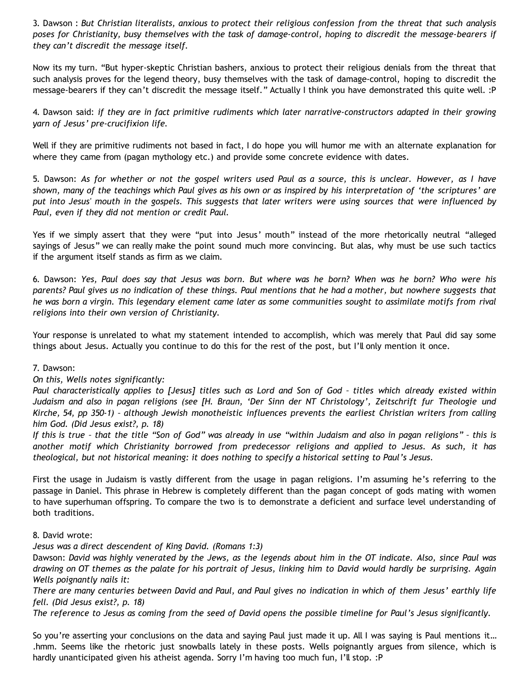3. Dawson : *But Christian literalists, anxious to protect their religious confession from the threat that such analysis poses for Christianity, busy themselves with the task of damage-control, hoping to discredit the message-bearers if they can't discredit the message itself.*

Now its my turn. "But hyper-skeptic Christian bashers, anxious to protect their religious denials from the threat that such analysis proves for the legend theory, busy themselves with the task of damage-control, hoping to discredit the message-bearers if they can't discredit the message itself." Actually I think you have demonstrated this quite well. :P

4. Dawson said: *if they are in fact primitive rudiments which later narrative-constructors adapted in their growing yarn of Jesus' pre-crucifixion life.*

Well if they are primitive rudiments not based in fact, I do hope you will humor me with an alternate explanation for where they came from (pagan mythology etc.) and provide some concrete evidence with dates.

5. Dawson: *As for whether or not the gospel writers used Paul as a source, this is unclear. However, as I have shown, many of the teachings which Paul gives as his own or as inspired by his interpretation of 'the scriptures' are put into Jesus' mouth in the gospels. This suggests that later writers were using sources that were influenced by Paul, even if they did not mention or credit Paul.*

Yes if we simply assert that they were "put into Jesus' mouth" instead of the more rhetorically neutral "alleged sayings of Jesus" we can really make the point sound much more convincing. But alas, why must be use such tactics if the argument itself stands as firm as we claim.

6. Dawson: *Yes, Paul does say that Jesus was born. But where was he born? When was he born? Who were his parents? Paul gives us no indication of these things. Paul mentions that he had a mother, but nowhere suggests that he was born a virgin. This legendary element came later as some communities sought to assimilate motifs from rival religions into their own version of Christianity.*

Your response is unrelated to what my statement intended to accomplish, which was merely that Paul did say some things about Jesus. Actually you continue to do this for the rest of the post, but I'll only mention it once.

# 7. Dawson:

# *On this, Wells notes significantly:*

*Paul characteristically applies to [Jesus] titles such as Lord and Son of God – titles which already existed within Judaism and also in pagan religions (see [H. Braun, 'Der Sinn der NT Christology', Zeitschrift fur Theologie und Kirche, 54, pp 350-1) – although Jewish monotheistic influences prevents the earliest Christian writers from calling him God. (Did Jesus exist?, p. 18)*

*If this is true – that the title "Son of God" was already in use "within Judaism and also in pagan religions" – this is another motif which Christianity borrowed from predecessor religions and applied to Jesus. As such, it has theological, but not historical meaning: it does nothing to specify a historical setting to Paul's Jesus.*

First the usage in Judaism is vastly different from the usage in pagan religions. I'm assuming he's referring to the passage in Daniel. This phrase in Hebrew is completely different than the pagan concept of gods mating with women to have superhuman offspring. To compare the two is to demonstrate a deficient and surface level understanding of both traditions.

### 8. David wrote:

# *Jesus was a direct descendent of King David. (Romans 1:3)*

Dawson: *David was highly venerated by the Jews, as the legends about him in the OT indicate. Also, since Paul was drawing on OT themes as the palate for his portrait of Jesus, linking him to David would hardly be surprising. Again Wells poignantly nails it:*

*There are many centuries between David and Paul, and Paul gives no indication in which of them Jesus' earthly life fell. (Did Jesus exist?, p. 18)*

*The reference to Jesus as coming from the seed of David opens the possible timeline for Paul's Jesus significantly.*

So you're asserting your conclusions on the data and saying Paul just made it up. All I was saying is Paul mentions it… .hmm. Seems like the rhetoric just snowballs lately in these posts. Wells poignantly argues from silence, which is hardly unanticipated given his atheist agenda. Sorry I'm having too much fun, I'll stop. : P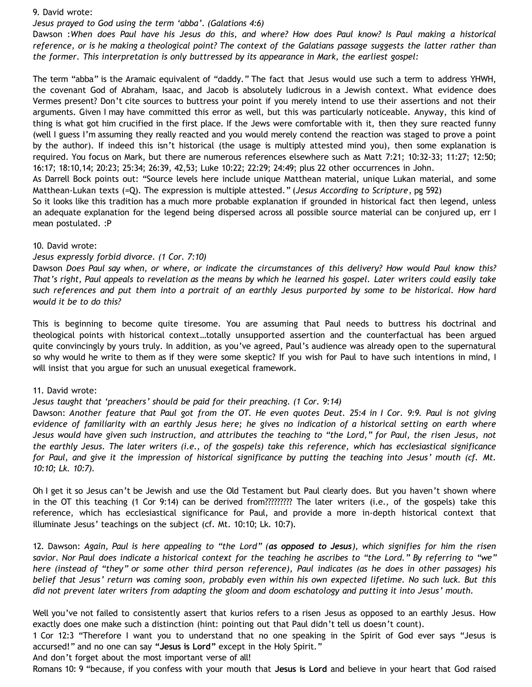#### 9. David wrote:

### *Jesus prayed to God using the term 'abba'. (Galations 4:6)*

Dawson :*When does Paul have his Jesus do this, and where? How does Paul know? Is Paul making a historical reference, or is he making a theological point? The context of the Galatians passage suggests the latter rather than the former. This interpretation is only buttressed by its appearance in Mark, the earliest gospel:*

The term "abba" is the Aramaic equivalent of "daddy." The fact that Jesus would use such a term to address YHWH, the covenant God of Abraham, Isaac, and Jacob is absolutely ludicrous in a Jewish context. What evidence does Vermes present? Don't cite sources to buttress your point if you merely intend to use their assertions and not their arguments. Given I may have committed this error as well, but this was particularly noticeable. Anyway, this kind of thing is what got him crucified in the first place. If the Jews were comfortable with it, then they sure reacted funny (well I guess I'm assuming they really reacted and you would merely contend the reaction was staged to prove a point by the author). If indeed this isn't historical (the usage is multiply attested mind you), then some explanation is required. You focus on Mark, but there are numerous references elsewhere such as Matt 7:21; 10:32-33; 11:27; 12:50; 16:17; 18:10,14; 20:23; 25:34; 26:39, 42,53; Luke 10:22; 22:29; 24:49; plus 22 other occurrences in John.

As Darrell Bock points out: "Source levels here include unique Matthean material, unique Lukan material, and some Matthean-Lukan texts (=Q). The expression is multiple attested." (*Jesus According to Scripture*, pg 592)

So it looks like this tradition has a much more probable explanation if grounded in historical fact then legend, unless an adequate explanation for the legend being dispersed across all possible source material can be conjured up, err I mean postulated. :P

### 10. David wrote:

### *Jesus expressly forbid divorce. (1 Cor. 7:10)*

Dawson *Does Paul say when, or where, or indicate the circumstances of this delivery? How would Paul know this? That's right, Paul appeals to revelation as the means by which he learned his gospel. Later writers could easily take such references and put them into a portrait of an earthly Jesus purported by some to be historical. How hard would it be to do this?*

This is beginning to become quite tiresome. You are assuming that Paul needs to buttress his doctrinal and theological points with historical context…totally unsupported assertion and the counterfactual has been argued quite convincingly by yours truly. In addition, as you've agreed, Paul's audience was already open to the supernatural so why would he write to them as if they were some skeptic? If you wish for Paul to have such intentions in mind, I will insist that you argue for such an unusual exegetical framework.

### 11. David wrote:

### *Jesus taught that 'preachers' should be paid for their preaching. (1 Cor. 9:14)*

Dawson: *Another feature that Paul got from the OT. He even quotes Deut. 25:4 in I Cor. 9:9. Paul is not giving evidence of familiarity with an earthly Jesus here; he gives no indication of a historical setting on earth where Jesus would have given such instruction, and attributes the teaching to "the Lord," for Paul, the risen Jesus, not the earthly Jesus. The later writers (i.e., of the gospels) take this reference, which has ecclesiastical significance for Paul, and give it the impression of historical significance by putting the teaching into Jesus' mouth (cf. Mt. 10:10; Lk. 10:7).*

Oh I get it so Jesus can't be Jewish and use the Old Testament but Paul clearly does. But you haven't shown where in the OT this teaching (1 Cor 9:14) can be derived from????????? The later writers (i.e., of the gospels) take this reference, which has ecclesiastical significance for Paul, and provide a more in-depth historical context that illuminate Jesus' teachings on the subject (cf. Mt. 10:10; Lk. 10:7).

12. Dawson: *Again, Paul is here appealing to "the Lord" (as opposed to Jesus), which signifies for him the risen savior. Nor Paul does indicate a historical context for the teaching he ascribes to "the Lord." By referring to "we" here (instead of "they" or some other third person reference), Paul indicates (as he does in other passages) his belief that Jesus' return was coming soon, probably even within his own expected lifetime. No such luck. But this did not prevent later writers from adapting the gloom and doom eschatology and putting it into Jesus' mouth.*

Well you've not failed to consistently assert that kurios refers to a risen Jesus as opposed to an earthly Jesus. How exactly does one make such a distinction (hint: pointing out that Paul didn't tell us doesn't count).

1 Cor 12:3 "Therefore I want you to understand that no one speaking in the Spirit of God ever says "Jesus is accursed!" and no one can say **"Jesus is Lord"** except in the Holy Spirit."

And don't forget about the most important verse of all!

Romans 10: 9 "because, if you confess with your mouth that **Jesus is Lord** and believe in your heart that God raised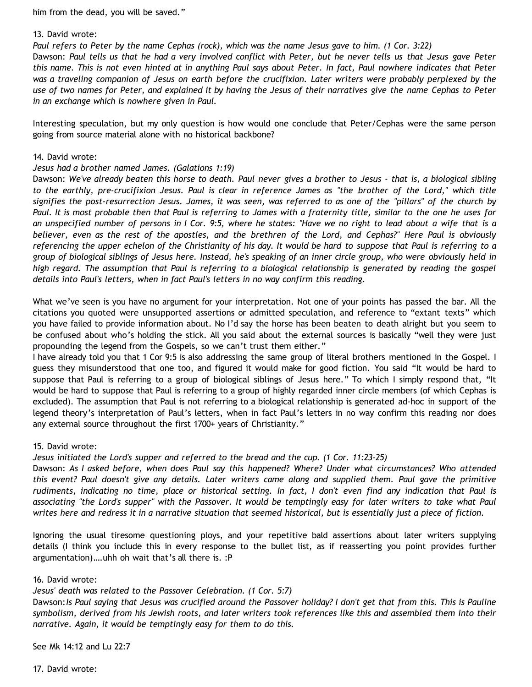him from the dead, you will be saved."

### 13. David wrote:

*Paul refers to Peter by the name Cephas (rock), which was the name Jesus gave to him. (1 Cor. 3:22)*

Dawson: *Paul tells us that he had a very involved conflict with Peter, but he never tells us that Jesus gave Peter this name. This is not even hinted at in anything Paul says about Peter. In fact, Paul nowhere indicates that Peter was a traveling companion of Jesus on earth before the crucifixion. Later writers were probably perplexed by the use of two names for Peter, and explained it by having the Jesus of their narratives give the name Cephas to Peter in an exchange which is nowhere given in Paul.*

Interesting speculation, but my only question is how would one conclude that Peter/Cephas were the same person going from source material alone with no historical backbone?

### 14. David wrote:

### *Jesus had a brother named James. (Galations 1:19)*

Dawson: *We've already beaten this horse to death. Paul never gives a brother to Jesus - that is, a biological sibling to the earthly, pre-crucifixion Jesus. Paul is clear in reference James as "the brother of the Lord," which title signifies the post-resurrection Jesus. James, it was seen, was referred to as one of the "pillars" of the church by Paul. It is most probable then that Paul is referring to James with a fraternity title, similar to the one he uses for an unspecified number of persons in I Cor. 9:5, where he states: "Have we no right to lead about a wife that is a believer, even as the rest of the apostles, and the brethren of the Lord, and Cephas?" Here Paul is obviously referencing the upper echelon of the Christianity of his day. It would be hard to suppose that Paul is referring to a group of biological siblings of Jesus here. Instead, he's speaking of an inner circle group, who were obviously held in high regard. The assumption that Paul is referring to a biological relationship is generated by reading the gospel details into Paul's letters, when in fact Paul's letters in no way confirm this reading.*

What we've seen is you have no argument for your interpretation. Not one of your points has passed the bar. All the citations you quoted were unsupported assertions or admitted speculation, and reference to "extant texts" which you have failed to provide information about. No I'd say the horse has been beaten to death alright but you seem to be confused about who's holding the stick. All you said about the external sources is basically "well they were just propounding the legend from the Gospels, so we can't trust them either."

I have already told you that 1 Cor 9:5 is also addressing the same group of literal brothers mentioned in the Gospel. I guess they misunderstood that one too, and figured it would make for good fiction. You said "It would be hard to suppose that Paul is referring to a group of biological siblings of Jesus here." To which I simply respond that, "It would be hard to suppose that Paul is referring to a group of highly regarded inner circle members (of which Cephas is excluded). The assumption that Paul is not referring to a biological relationship is generated ad-hoc in support of the legend theory's interpretation of Paul's letters, when in fact Paul's letters in no way confirm this reading nor does any external source throughout the first 1700+ years of Christianity."

# 15. David wrote:

*Jesus initiated the Lord's supper and referred to the bread and the cup. (1 Cor. 11:23-25)*

Dawson: *As I asked before, when does Paul say this happened? Where? Under what circumstances? Who attended this event? Paul doesn't give any details. Later writers came along and supplied them. Paul gave the primitive rudiments, indicating no time, place or historical setting. In fact, I don't even find any indication that Paul is associating "the Lord's supper" with the Passover. It would be temptingly easy for later writers to take what Paul writes here and redress it in a narrative situation that seemed historical, but is essentially just a piece of fiction.*

Ignoring the usual tiresome questioning ploys, and your repetitive bald assertions about later writers supplying details (I think you include this in every response to the bullet list, as if reasserting you point provides further argumentation)….uhh oh wait that's all there is. :P

# 16. David wrote:

*Jesus' death was related to the Passover Celebration. (1 Cor. 5:7)*

Dawson:*Is Paul saying that Jesus was crucified around the Passover holiday? I don't get that from this. This is Pauline symbolism, derived from his Jewish roots, and later writers took references like this and assembled them into their narrative. Again, it would be temptingly easy for them to do this.*

See Mk 14:12 and Lu 22:7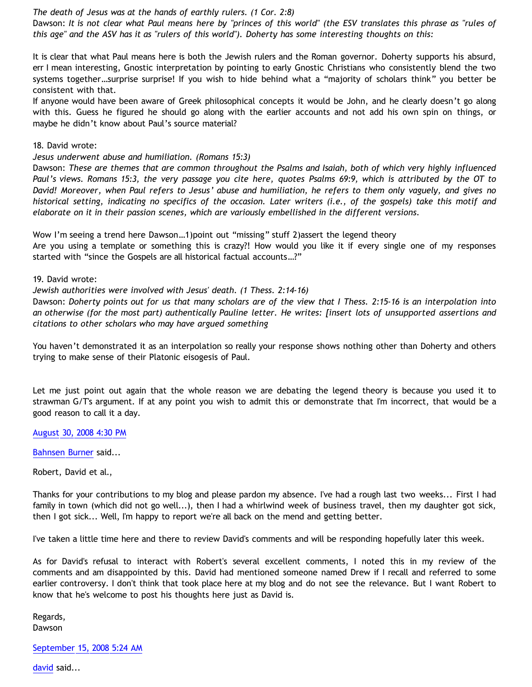*The death of Jesus was at the hands of earthly rulers. (1 Cor. 2:8)*

Dawson: *It is not clear what Paul means here by "princes of this world" (the ESV translates this phrase as "rules of this age" and the ASV has it as "rulers of this world"). Doherty has some interesting thoughts on this:*

It is clear that what Paul means here is both the Jewish rulers and the Roman governor. Doherty supports his absurd, err I mean interesting, Gnostic interpretation by pointing to early Gnostic Christians who consistently blend the two systems together…surprise surprise! If you wish to hide behind what a "majority of scholars think" you better be consistent with that.

If anyone would have been aware of Greek philosophical concepts it would be John, and he clearly doesn't go along with this. Guess he figured he should go along with the earlier accounts and not add his own spin on things, or maybe he didn't know about Paul's source material?

18. David wrote:

*Jesus underwent abuse and humiliation. (Romans 15:3)*

Dawson: *These are themes that are common throughout the Psalms and Isaiah, both of which very highly influenced Paul's views. Romans 15:3, the very passage you cite here, quotes Psalms 69:9, which is attributed by the OT to David! Moreover, when Paul refers to Jesus' abuse and humiliation, he refers to them only vaguely, and gives no historical setting, indicating no specifics of the occasion. Later writers (i.e., of the gospels) take this motif and elaborate on it in their passion scenes, which are variously embellished in the different versions.*

Wow I'm seeing a trend here Dawson…1)point out "missing" stuff 2)assert the legend theory

Are you using a template or something this is crazy?! How would you like it if every single one of my responses started with "since the Gospels are all historical factual accounts…?"

19. David wrote:

*Jewish authorities were involved with Jesus' death. (1 Thess. 2:14-16)*

Dawson: *Doherty points out for us that many scholars are of the view that I Thess. 2:15-16 is an interpolation into an otherwise (for the most part) authentically Pauline letter. He writes: [insert lots of unsupported assertions and citations to other scholars who may have argued something*

You haven't demonstrated it as an interpolation so really your response shows nothing other than Doherty and others trying to make sense of their Platonic eisogesis of Paul.

Let me just point out again that the whole reason we are debating the legend theory is because you used it to strawman G/T's argument. If at any point you wish to admit this or demonstrate that I'm incorrect, that would be a good reason to call it a day.

[August 30, 2008 4:30 PM](http://bahnsenburner.blogspot.com/2008/08/4321722592570089836)

[Bahnsen Burner](http://www.blogger.com/profile/11030029491768748360) said...

Robert, David et al.,

Thanks for your contributions to my blog and please pardon my absence. I've had a rough last two weeks... First I had family in town (which did not go well...), then I had a whirlwind week of business travel, then my daughter got sick, then I got sick... Well, I'm happy to report we're all back on the mend and getting better.

I've taken a little time here and there to review David's comments and will be responding hopefully later this week.

As for David's refusal to interact with Robert's several excellent comments, I noted this in my review of the comments and am disappointed by this. David had mentioned someone named Drew if I recall and referred to some earlier controversy. I don't think that took place here at my blog and do not see the relevance. But I want Robert to know that he's welcome to post his thoughts here just as David is.

Regards, Dawson

[September 15, 2008 5:24 AM](http://bahnsenburner.blogspot.com/2008/08/684875627316149426)

[david](http://www.blogger.com/profile/08071763988772047093) said...